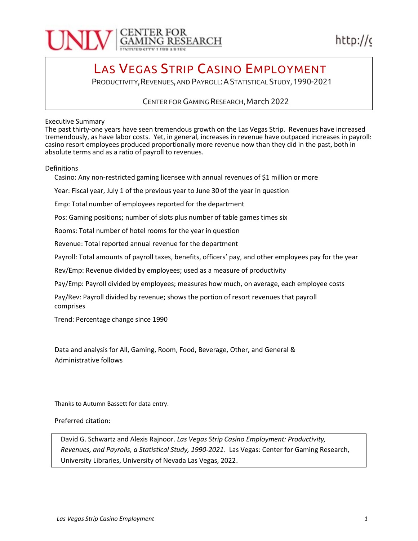

## LAS VEGAS STRIP CASINO EMPLOYMENT

PRODUCTIVITY, REVENUES, AND PAYROLL: A STATISTICAL STUDY, 1990-2021

CENTER FOR GAMING RESEARCH, March 2022

#### Executive Summary

The past thirty-one years have seen tremendous growth on the Las Vegas Strip. Revenues have increased tremendously, as have labor costs. Yet, in general, increases in revenue have outpaced increases in payroll: casino resort employees produced proportionally more revenue now than they did in the past, both in absolute terms and as a ratio of payroll to revenues.

#### Definitions

Casino: Any non-restricted gaming licensee with annual revenues of \$1 million or more

Year: Fiscal year, July 1 of the previous year to June 30 of the year in question

Emp: Total number of employees reported for the department

Pos: Gaming positions; number of slots plus number of table games times six

Rooms: Total number of hotel rooms for the year in question

Revenue: Total reported annual revenue for the department

Payroll: Total amounts of payroll taxes, benefits, officers' pay, and other employees pay for the year

Rev/Emp: Revenue divided by employees; used as a measure of productivity

Pay/Emp: Payroll divided by employees; measures how much, on average, each employee costs

Pay/Rev: Payroll divided by revenue; shows the portion of resort revenues that payroll comprises

Trend: Percentage change since 1990

Data and analysis for All, Gaming, Room, Food, Beverage, Other, and General & Administrative follows

Thanks to Autumn Bassett for data entry.

Preferred citation:

David G. Schwartz and Alexis Rajnoor. Las Vegas Strip Casino Employment: Productivity, Revenues, and Payrolls, a Statistical Study, 1990-2021. Las Vegas: Center for Gaming Research, University Libraries, University of Nevada Las Vegas, 2022.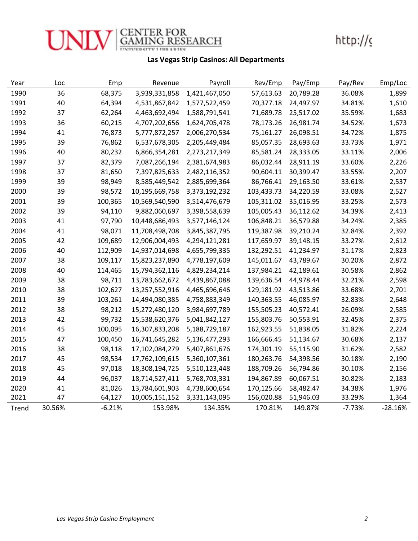

### Las Vegas Strip Casinos: All Departments

| Year  | Loc    | Emp      | Revenue        | Payroll       | Rev/Emp    | Pay/Emp   | Pay/Rev  | Emp/Loc   |
|-------|--------|----------|----------------|---------------|------------|-----------|----------|-----------|
| 1990  | 36     | 68,375   | 3,939,331,858  | 1,421,467,050 | 57,613.63  | 20,789.28 | 36.08%   | 1,899     |
| 1991  | 40     | 64,394   | 4,531,867,842  | 1,577,522,459 | 70,377.18  | 24,497.97 | 34.81%   | 1,610     |
| 1992  | 37     | 62,264   | 4,463,692,494  | 1,588,791,541 | 71,689.78  | 25,517.02 | 35.59%   | 1,683     |
| 1993  | 36     | 60,215   | 4,707,202,656  | 1,624,705,478 | 78,173.26  | 26,981.74 | 34.52%   | 1,673     |
| 1994  | 41     | 76,873   | 5,777,872,257  | 2,006,270,534 | 75,161.27  | 26,098.51 | 34.72%   | 1,875     |
| 1995  | 39     | 76,862   | 6,537,678,305  | 2,205,449,484 | 85,057.35  | 28,693.63 | 33.73%   | 1,971     |
| 1996  | 40     | 80,232   | 6,866,354,281  | 2,273,217,349 | 85,581.24  | 28,333.05 | 33.11%   | 2,006     |
| 1997  | 37     | 82,379   | 7,087,266,194  | 2,381,674,983 | 86,032.44  | 28,911.19 | 33.60%   | 2,226     |
| 1998  | 37     | 81,650   | 7,397,825,633  | 2,482,116,352 | 90,604.11  | 30,399.47 | 33.55%   | 2,207     |
| 1999  | 39     | 98,949   | 8,585,449,542  | 2,885,699,364 | 86,766.41  | 29,163.50 | 33.61%   | 2,537     |
| 2000  | 39     | 98,572   | 10,195,669,758 | 3,373,192,232 | 103,433.73 | 34,220.59 | 33.08%   | 2,527     |
| 2001  | 39     | 100,365  | 10,569,540,590 | 3,514,476,679 | 105,311.02 | 35,016.95 | 33.25%   | 2,573     |
| 2002  | 39     | 94,110   | 9,882,060,697  | 3,398,558,639 | 105,005.43 | 36,112.62 | 34.39%   | 2,413     |
| 2003  | 41     | 97,790   | 10,448,686,493 | 3,577,146,124 | 106,848.21 | 36,579.88 | 34.24%   | 2,385     |
| 2004  | 41     | 98,071   | 11,708,498,708 | 3,845,387,795 | 119,387.98 | 39,210.24 | 32.84%   | 2,392     |
| 2005  | 42     | 109,689  | 12,906,004,493 | 4,294,121,281 | 117,659.97 | 39,148.15 | 33.27%   | 2,612     |
| 2006  | 40     | 112,909  | 14,937,014,698 | 4,655,799,335 | 132,292.51 | 41,234.97 | 31.17%   | 2,823     |
| 2007  | 38     | 109,117  | 15,823,237,890 | 4,778,197,609 | 145,011.67 | 43,789.67 | 30.20%   | 2,872     |
| 2008  | 40     | 114,465  | 15,794,362,116 | 4,829,234,214 | 137,984.21 | 42,189.61 | 30.58%   | 2,862     |
| 2009  | 38     | 98,711   | 13,783,662,672 | 4,439,867,088 | 139,636.54 | 44,978.44 | 32.21%   | 2,598     |
| 2010  | 38     | 102,627  | 13,257,552,916 | 4,465,696,646 | 129,181.92 | 43,513.86 | 33.68%   | 2,701     |
| 2011  | 39     | 103,261  | 14,494,080,385 | 4,758,883,349 | 140,363.55 | 46,085.97 | 32.83%   | 2,648     |
| 2012  | 38     | 98,212   | 15,272,480,120 | 3,984,697,789 | 155,505.23 | 40,572.41 | 26.09%   | 2,585     |
| 2013  | 42     | 99,732   | 15,538,620,376 | 5,041,842,127 | 155,803.76 | 50,553.91 | 32.45%   | 2,375     |
| 2014  | 45     | 100,095  | 16,307,833,208 | 5,188,729,187 | 162,923.55 | 51,838.05 | 31.82%   | 2,224     |
| 2015  | 47     | 100,450  | 16,741,645,282 | 5,136,477,293 | 166,666.45 | 51,134.67 | 30.68%   | 2,137     |
| 2016  | 38     | 98,118   | 17,102,084,279 | 5,407,861,676 | 174,301.19 | 55,115.90 | 31.62%   | 2,582     |
| 2017  | 45     | 98,534   | 17,762,109,615 | 5,360,107,361 | 180,263.76 | 54,398.56 | 30.18%   | 2,190     |
| 2018  | 45     | 97,018   | 18,308,194,725 | 5,510,123,448 | 188,709.26 | 56,794.86 | 30.10%   | 2,156     |
| 2019  | 44     | 96,037   | 18,714,527,411 | 5,768,703,331 | 194,867.89 | 60,067.51 | 30.82%   | 2,183     |
| 2020  | 41     | 81,026   | 13,784,601,903 | 4,738,600,654 | 170,125.66 | 58,482.47 | 34.38%   | 1,976     |
| 2021  | 47     | 64,127   | 10,005,151,152 | 3,331,143,095 | 156,020.88 | 51,946.03 | 33.29%   | 1,364     |
| Trend | 30.56% | $-6.21%$ | 153.98%        | 134.35%       | 170.81%    | 149.87%   | $-7.73%$ | $-28.16%$ |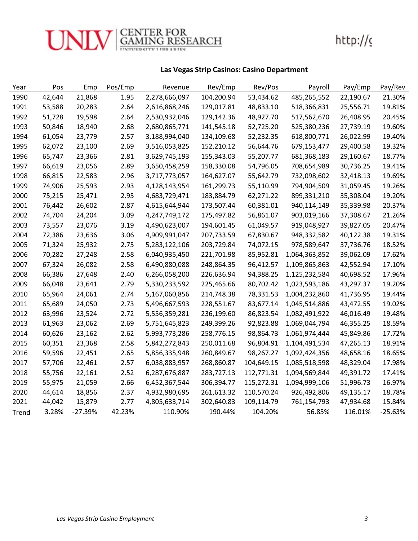

### Las Vegas Strip Casinos: Casino Department

| Year  | Pos    | Emp       | Pos/Emp | Revenue       | Rev/Emp    | Rev/Pos    | Payroll       | Pay/Emp   | Pay/Rev   |
|-------|--------|-----------|---------|---------------|------------|------------|---------------|-----------|-----------|
| 1990  | 42,644 | 21,868    | 1.95    | 2,278,666,097 | 104,200.94 | 53,434.62  | 485,265,552   | 22,190.67 | 21.30%    |
| 1991  | 53,588 | 20,283    | 2.64    | 2,616,868,246 | 129,017.81 | 48,833.10  | 518,366,831   | 25,556.71 | 19.81%    |
| 1992  | 51,728 | 19,598    | 2.64    | 2,530,932,046 | 129,142.36 | 48,927.70  | 517,562,670   | 26,408.95 | 20.45%    |
| 1993  | 50,846 | 18,940    | 2.68    | 2,680,865,771 | 141,545.18 | 52,725.20  | 525,380,236   | 27,739.19 | 19.60%    |
| 1994  | 61,054 | 23,779    | 2.57    | 3,188,994,040 | 134,109.68 | 52,232.35  | 618,800,771   | 26,022.99 | 19.40%    |
| 1995  | 62,072 | 23,100    | 2.69    | 3,516,053,825 | 152,210.12 | 56,644.76  | 679,153,477   | 29,400.58 | 19.32%    |
| 1996  | 65,747 | 23,366    | 2.81    | 3,629,745,193 | 155,343.03 | 55,207.77  | 681,368,183   | 29,160.67 | 18.77%    |
| 1997  | 66,619 | 23,056    | 2.89    | 3,650,458,259 | 158,330.08 | 54,796.05  | 708,654,989   | 30,736.25 | 19.41%    |
| 1998  | 66,815 | 22,583    | 2.96    | 3,717,773,057 | 164,627.07 | 55,642.79  | 732,098,602   | 32,418.13 | 19.69%    |
| 1999  | 74,906 | 25,593    | 2.93    | 4,128,143,954 | 161,299.73 | 55,110.99  | 794,904,509   | 31,059.45 | 19.26%    |
| 2000  | 75,215 | 25,471    | 2.95    | 4,683,729,471 | 183,884.79 | 62,271.22  | 899,331,210   | 35,308.04 | 19.20%    |
| 2001  | 76,442 | 26,602    | 2.87    | 4,615,644,944 | 173,507.44 | 60,381.01  | 940,114,149   | 35,339.98 | 20.37%    |
| 2002  | 74,704 | 24,204    | 3.09    | 4,247,749,172 | 175,497.82 | 56,861.07  | 903,019,166   | 37,308.67 | 21.26%    |
| 2003  | 73,557 | 23,076    | 3.19    | 4,490,623,007 | 194,601.45 | 61,049.57  | 919,048,927   | 39,827.05 | 20.47%    |
| 2004  | 72,386 | 23,636    | 3.06    | 4,909,991,047 | 207,733.59 | 67,830.67  | 948,332,582   | 40,122.38 | 19.31%    |
| 2005  | 71,324 | 25,932    | 2.75    | 5,283,122,106 | 203,729.84 | 74,072.15  | 978,589,647   | 37,736.76 | 18.52%    |
| 2006  | 70,282 | 27,248    | 2.58    | 6,040,935,450 | 221,701.98 | 85,952.81  | 1,064,363,852 | 39,062.09 | 17.62%    |
| 2007  | 67,324 | 26,082    | 2.58    | 6,490,880,088 | 248,864.35 | 96,412.57  | 1,109,865,863 | 42,552.94 | 17.10%    |
| 2008  | 66,386 | 27,648    | 2.40    | 6,266,058,200 | 226,636.94 | 94,388.25  | 1,125,232,584 | 40,698.52 | 17.96%    |
| 2009  | 66,048 | 23,641    | 2.79    | 5,330,233,592 | 225,465.66 | 80,702.42  | 1,023,593,186 | 43,297.37 | 19.20%    |
| 2010  | 65,964 | 24,061    | 2.74    | 5,167,060,856 | 214,748.38 | 78,331.53  | 1,004,232,860 | 41,736.95 | 19.44%    |
| 2011  | 65,689 | 24,050    | 2.73    | 5,496,667,593 | 228,551.67 | 83,677.14  | 1,045,514,886 | 43,472.55 | 19.02%    |
| 2012  | 63,996 | 23,524    | 2.72    | 5,556,359,281 | 236,199.60 | 86,823.54  | 1,082,491,922 | 46,016.49 | 19.48%    |
| 2013  | 61,963 | 23,062    | 2.69    | 5,751,645,823 | 249,399.26 | 92,823.88  | 1,069,044,794 | 46,355.25 | 18.59%    |
| 2014  | 60,626 | 23,162    | 2.62    | 5,993,773,286 | 258,776.15 | 98,864.73  | 1,061,974,444 | 45,849.86 | 17.72%    |
| 2015  | 60,351 | 23,368    | 2.58    | 5,842,272,843 | 250,011.68 | 96,804.91  | 1,104,491,534 | 47,265.13 | 18.91%    |
| 2016  | 59,596 | 22,451    | 2.65    | 5,856,335,948 | 260,849.67 | 98,267.27  | 1,092,424,356 | 48,658.16 | 18.65%    |
| 2017  | 57,706 | 22,461    | 2.57    | 6,038,883,957 | 268,860.87 | 104,649.15 | 1,085,518,598 | 48,329.04 | 17.98%    |
| 2018  | 55,756 | 22,161    | 2.52    | 6,287,676,887 | 283,727.13 | 112,771.31 | 1,094,569,844 | 49,391.72 | 17.41%    |
| 2019  | 55,975 | 21,059    | 2.66    | 6,452,367,544 | 306,394.77 | 115,272.31 | 1,094,999,106 | 51,996.73 | 16.97%    |
| 2020  | 44,614 | 18,856    | 2.37    | 4,932,980,695 | 261,613.32 | 110,570.24 | 926,492,806   | 49,135.17 | 18.78%    |
| 2021  | 44,042 | 15,879    | 2.77    | 4,805,633,714 | 302,640.83 | 109,114.79 | 761,154,793   | 47,934.68 | 15.84%    |
| Trend | 3.28%  | $-27.39%$ | 42.23%  | 110.90%       | 190.44%    | 104.20%    | 56.85%        | 116.01%   | $-25.63%$ |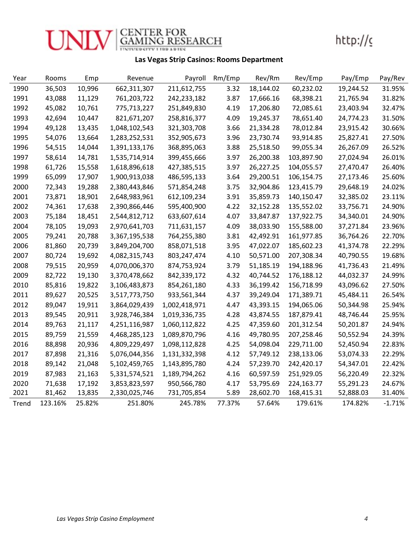

## Las Vegas Strip Casinos: Rooms Department

| Year  | Rooms   | Emp    | Revenue       | Payroll       | Rm/Emp | Rev/Rm    | Rev/Emp    | Pay/Emp   | Pay/Rev  |
|-------|---------|--------|---------------|---------------|--------|-----------|------------|-----------|----------|
| 1990  | 36,503  | 10,996 | 662,311,307   | 211,612,755   | 3.32   | 18,144.02 | 60,232.02  | 19,244.52 | 31.95%   |
| 1991  | 43,088  | 11,129 | 761,203,722   | 242,233,182   | 3.87   | 17,666.16 | 68,398.21  | 21,765.94 | 31.82%   |
| 1992  | 45,082  | 10,761 | 775,713,227   | 251,849,830   | 4.19   | 17,206.80 | 72,085.61  | 23,403.94 | 32.47%   |
| 1993  | 42,694  | 10,447 | 821,671,207   | 258,816,377   | 4.09   | 19,245.37 | 78,651.40  | 24,774.23 | 31.50%   |
| 1994  | 49,128  | 13,435 | 1,048,102,543 | 321,303,708   | 3.66   | 21,334.28 | 78,012.84  | 23,915.42 | 30.66%   |
| 1995  | 54,076  | 13,664 | 1,283,252,531 | 352,905,673   | 3.96   | 23,730.74 | 93,914.85  | 25,827.41 | 27.50%   |
| 1996  | 54,515  | 14,044 | 1,391,133,176 | 368,895,063   | 3.88   | 25,518.50 | 99,055.34  | 26,267.09 | 26.52%   |
| 1997  | 58,614  | 14,781 | 1,535,714,914 | 399,455,666   | 3.97   | 26,200.38 | 103,897.90 | 27,024.94 | 26.01%   |
| 1998  | 61,726  | 15,558 | 1,618,896,618 | 427,385,515   | 3.97   | 26,227.25 | 104,055.57 | 27,470.47 | 26.40%   |
| 1999  | 65,099  | 17,907 | 1,900,913,038 | 486,595,133   | 3.64   | 29,200.51 | 106,154.75 | 27,173.46 | 25.60%   |
| 2000  | 72,343  | 19,288 | 2,380,443,846 | 571,854,248   | 3.75   | 32,904.86 | 123,415.79 | 29,648.19 | 24.02%   |
| 2001  | 73,871  | 18,901 | 2,648,983,961 | 612,109,234   | 3.91   | 35,859.73 | 140,150.47 | 32,385.02 | 23.11%   |
| 2002  | 74,361  | 17,638 | 2,390,866,446 | 595,400,900   | 4.22   | 32,152.28 | 135,552.02 | 33,756.71 | 24.90%   |
| 2003  | 75,184  | 18,451 | 2,544,812,712 | 633,607,614   | 4.07   | 33,847.87 | 137,922.75 | 34,340.01 | 24.90%   |
| 2004  | 78,105  | 19,093 | 2,970,641,703 | 711,631,157   | 4.09   | 38,033.90 | 155,588.00 | 37,271.84 | 23.96%   |
| 2005  | 79,241  | 20,788 | 3,367,195,538 | 764,255,380   | 3.81   | 42,492.91 | 161,977.85 | 36,764.26 | 22.70%   |
| 2006  | 81,860  | 20,739 | 3,849,204,700 | 858,071,518   | 3.95   | 47,022.07 | 185,602.23 | 41,374.78 | 22.29%   |
| 2007  | 80,724  | 19,692 | 4,082,315,743 | 803, 247, 474 | 4.10   | 50,571.00 | 207,308.34 | 40,790.55 | 19.68%   |
| 2008  | 79,515  | 20,959 | 4,070,006,370 | 874,753,924   | 3.79   | 51,185.19 | 194,188.96 | 41,736.43 | 21.49%   |
| 2009  | 82,722  | 19,130 | 3,370,478,662 | 842,339,172   | 4.32   | 40,744.52 | 176,188.12 | 44,032.37 | 24.99%   |
| 2010  | 85,816  | 19,822 | 3,106,483,873 | 854,261,180   | 4.33   | 36,199.42 | 156,718.99 | 43,096.62 | 27.50%   |
| 2011  | 89,627  | 20,525 | 3,517,773,750 | 933,561,344   | 4.37   | 39,249.04 | 171,389.71 | 45,484.11 | 26.54%   |
| 2012  | 89,047  | 19,911 | 3,864,029,439 | 1,002,418,971 | 4.47   | 43,393.15 | 194,065.06 | 50,344.98 | 25.94%   |
| 2013  | 89,545  | 20,911 | 3,928,746,384 | 1,019,336,735 | 4.28   | 43,874.55 | 187,879.41 | 48,746.44 | 25.95%   |
| 2014  | 89,763  | 21,117 | 4,251,116,987 | 1,060,112,822 | 4.25   | 47,359.60 | 201,312.54 | 50,201.87 | 24.94%   |
| 2015  | 89,759  | 21,559 | 4,468,285,123 | 1,089,870,796 | 4.16   | 49,780.95 | 207,258.46 | 50,552.94 | 24.39%   |
| 2016  | 88,898  | 20,936 | 4,809,229,497 | 1,098,112,828 | 4.25   | 54,098.04 | 229,711.00 | 52,450.94 | 22.83%   |
| 2017  | 87,898  | 21,316 | 5,076,044,356 | 1,131,332,398 | 4.12   | 57,749.12 | 238,133.06 | 53,074.33 | 22.29%   |
| 2018  | 89,142  | 21,048 | 5,102,459,765 | 1,143,895,780 | 4.24   | 57,239.70 | 242,420.17 | 54,347.01 | 22.42%   |
| 2019  | 87,983  | 21,163 | 5,331,574,521 | 1,189,794,262 | 4.16   | 60,597.59 | 251,929.05 | 56,220.49 | 22.32%   |
| 2020  | 71,638  | 17,192 | 3,853,823,597 | 950,566,780   | 4.17   | 53,795.69 | 224,163.77 | 55,291.23 | 24.67%   |
| 2021  | 81,462  | 13,835 | 2,330,025,746 | 731,705,854   | 5.89   | 28,602.70 | 168,415.31 | 52,888.03 | 31.40%   |
| Trend | 123.16% | 25.82% | 251.80%       | 245.78%       | 77.37% | 57.64%    | 179.61%    | 174.82%   | $-1.71%$ |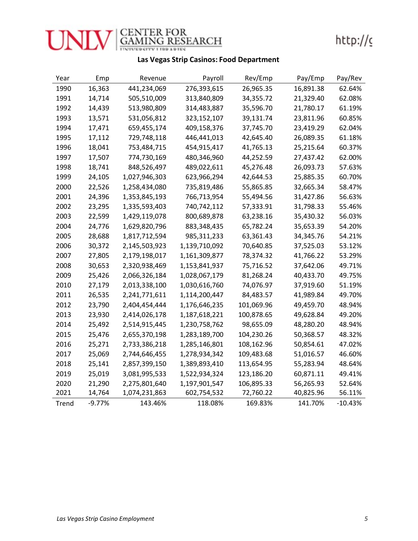

### Las Vegas Strip Casinos: Food Department

| Year  | Emp    | Revenue       | Payroll       | Rev/Emp    | Pay/Emp   | Pay/Rev |
|-------|--------|---------------|---------------|------------|-----------|---------|
| 1990  | 16,363 | 441,234,069   | 276,393,615   | 26,965.35  | 16,891.38 | 62.64%  |
| 1991  | 14,714 | 505,510,009   | 313,840,809   | 34,355.72  | 21,329.40 | 62.08%  |
| 1992  | 14,439 | 513,980,809   | 314,483,887   | 35,596.70  | 21,780.17 | 61.19%  |
| 1993  | 13,571 | 531,056,812   | 323,152,107   | 39,131.74  | 23,811.96 | 60.85%  |
| 1994  | 17,471 | 659,455,174   | 409,158,376   | 37,745.70  | 23,419.29 | 62.04%  |
| 1995  | 17,112 | 729,748,118   | 446,441,013   | 42,645.40  | 26,089.35 | 61.18%  |
| 1996  | 18,041 | 753,484,715   | 454,915,417   | 41,765.13  | 25,215.64 | 60.37%  |
| 1997  | 17,507 | 774,730,169   | 480,346,960   | 44,252.59  | 27,437.42 | 62.00%  |
| 1998  | 18,741 | 848,526,497   | 489,022,611   | 45,276.48  | 26,093.73 | 57.63%  |
| 1999  | 24,105 | 1,027,946,303 | 623,966,294   | 42,644.53  | 25,885.35 | 60.70%  |
| 2000  | 22,526 | 1,258,434,080 | 735,819,486   | 55,865.85  | 32,665.34 | 58.47%  |
| 2001  | 24,396 | 1,353,845,193 | 766,713,954   | 55,494.56  | 31,427.86 | 56.63%  |
| 2002  | 23,295 | 1,335,593,403 | 740,742,112   | 57,333.91  | 31,798.33 | 55.46%  |
| 2003  | 22,599 | 1,429,119,078 | 800,689,878   | 63,238.16  | 35,430.32 | 56.03%  |
| 2004  | 24,776 | 1,629,820,796 | 883,348,435   | 65,782.24  | 35,653.39 | 54.20%  |
| 2005  | 28,688 | 1,817,712,594 | 985,311,233   | 63,361.43  | 34,345.76 | 54.21%  |
| 2006  | 30,372 | 2,145,503,923 | 1,139,710,092 | 70,640.85  | 37,525.03 | 53.12%  |
| 2007  | 27,805 | 2,179,198,017 | 1,161,309,877 | 78,374.32  | 41,766.22 | 53.29%  |
| 2008  | 30,653 | 2,320,938,469 | 1,153,841,937 | 75,716.52  | 37,642.06 | 49.71%  |
| 2009  | 25,426 | 2,066,326,184 | 1,028,067,179 | 81,268.24  | 40,433.70 | 49.75%  |
| 2010  | 27,179 | 2,013,338,100 | 1,030,616,760 | 74,076.97  | 37,919.60 | 51.19%  |
| 2011  | 26,535 | 2,241,771,611 | 1,114,200,447 | 84,483.57  | 41,989.84 | 49.70%  |
| 2012  | 23,790 | 2,404,454,444 | 1,176,646,235 | 101,069.96 | 49,459.70 | 48.94%  |
| 2013  | 23,930 | 2,414,026,178 | 1,187,618,221 | 100,878.65 | 49,628.84 | 49.20%  |
| 2014  | 25,492 | 2,514,915,445 | 1,230,758,762 | 98,655.09  | 48,280.20 | 48.94%  |
| 2015  | 25,476 | 2,655,370,198 | 1,283,189,700 | 104,230.26 | 50,368.57 | 48.32%  |
| 2016  | 25,271 | 2,733,386,218 | 1,285,146,801 | 108,162.96 | 50,854.61 | 47.02%  |
| 2017  | 25,069 | 2,744,646,455 | 1,278,934,342 | 109,483.68 | 51,016.57 | 46.60%  |
| 2018  | 25,141 | 2,857,399,150 | 1,389,893,410 | 113,654.95 | 55,283.94 | 48.64%  |
| 2019  | 25,019 | 3,081,995,533 | 1,522,934,324 | 123,186.20 | 60,871.11 | 49.41%  |
| 2020  | 21,290 | 2,275,801,640 | 1,197,901,547 | 106,895.33 | 56,265.93 | 52.64%  |
| 2021  | 14,764 | 1,074,231,863 | 602,754,532   | 72,760.22  | 40,825.96 | 56.11%  |
| Trend | -9.77% | 143.46%       | 118.08%       | 169.83%    | 141.70%   | -10.43% |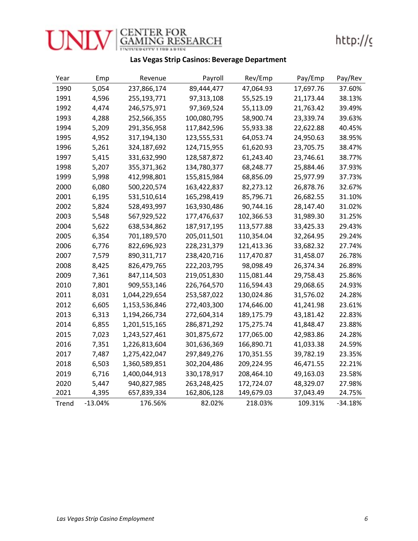

### Las Vegas Strip Casinos: Beverage Department

| Year  | Emp       | Revenue       | Payroll     | Rev/Emp    | Pay/Emp   | Pay/Rev |
|-------|-----------|---------------|-------------|------------|-----------|---------|
| 1990  | 5,054     | 237,866,174   | 89,444,477  | 47,064.93  | 17,697.76 | 37.60%  |
| 1991  | 4,596     | 255,193,771   | 97,313,108  | 55,525.19  | 21,173.44 | 38.13%  |
| 1992  | 4,474     | 246,575,971   | 97,369,524  | 55,113.09  | 21,763.42 | 39.49%  |
| 1993  | 4,288     | 252,566,355   | 100,080,795 | 58,900.74  | 23,339.74 | 39.63%  |
| 1994  | 5,209     | 291,356,958   | 117,842,596 | 55,933.38  | 22,622.88 | 40.45%  |
| 1995  | 4,952     | 317,194,130   | 123,555,531 | 64,053.74  | 24,950.63 | 38.95%  |
| 1996  | 5,261     | 324,187,692   | 124,715,955 | 61,620.93  | 23,705.75 | 38.47%  |
| 1997  | 5,415     | 331,632,990   | 128,587,872 | 61,243.40  | 23,746.61 | 38.77%  |
| 1998  | 5,207     | 355,371,362   | 134,780,377 | 68,248.77  | 25,884.46 | 37.93%  |
| 1999  | 5,998     | 412,998,801   | 155,815,984 | 68,856.09  | 25,977.99 | 37.73%  |
| 2000  | 6,080     | 500,220,574   | 163,422,837 | 82,273.12  | 26,878.76 | 32.67%  |
| 2001  | 6,195     | 531,510,614   | 165,298,419 | 85,796.71  | 26,682.55 | 31.10%  |
| 2002  | 5,824     | 528,493,997   | 163,930,486 | 90,744.16  | 28,147.40 | 31.02%  |
| 2003  | 5,548     | 567,929,522   | 177,476,637 | 102,366.53 | 31,989.30 | 31.25%  |
| 2004  | 5,622     | 638,534,862   | 187,917,195 | 113,577.88 | 33,425.33 | 29.43%  |
| 2005  | 6,354     | 701,189,570   | 205,011,501 | 110,354.04 | 32,264.95 | 29.24%  |
| 2006  | 6,776     | 822,696,923   | 228,231,379 | 121,413.36 | 33,682.32 | 27.74%  |
| 2007  | 7,579     | 890,311,717   | 238,420,716 | 117,470.87 | 31,458.07 | 26.78%  |
| 2008  | 8,425     | 826,479,765   | 222,203,795 | 98,098.49  | 26,374.34 | 26.89%  |
| 2009  | 7,361     | 847,114,503   | 219,051,830 | 115,081.44 | 29,758.43 | 25.86%  |
| 2010  | 7,801     | 909,553,146   | 226,764,570 | 116,594.43 | 29,068.65 | 24.93%  |
| 2011  | 8,031     | 1,044,229,654 | 253,587,022 | 130,024.86 | 31,576.02 | 24.28%  |
| 2012  | 6,605     | 1,153,536,846 | 272,403,300 | 174,646.00 | 41,241.98 | 23.61%  |
| 2013  | 6,313     | 1,194,266,734 | 272,604,314 | 189,175.79 | 43,181.42 | 22.83%  |
| 2014  | 6,855     | 1,201,515,165 | 286,871,292 | 175,275.74 | 41,848.47 | 23.88%  |
| 2015  | 7,023     | 1,243,527,461 | 301,875,672 | 177,065.00 | 42,983.86 | 24.28%  |
| 2016  | 7,351     | 1,226,813,604 | 301,636,369 | 166,890.71 | 41,033.38 | 24.59%  |
| 2017  | 7,487     | 1,275,422,047 | 297,849,276 | 170,351.55 | 39,782.19 | 23.35%  |
| 2018  | 6,503     | 1,360,589,851 | 302,204,486 | 209,224.95 | 46,471.55 | 22.21%  |
| 2019  | 6,716     | 1,400,044,913 | 330,178,917 | 208,464.10 | 49,163.03 | 23.58%  |
| 2020  | 5,447     | 940,827,985   | 263,248,425 | 172,724.07 | 48,329.07 | 27.98%  |
| 2021  | 4,395     | 657,839,334   | 162,806,128 | 149,679.03 | 37,043.49 | 24.75%  |
| Trend | $-13.04%$ | 176.56%       | 82.02%      | 218.03%    | 109.31%   | -34.18% |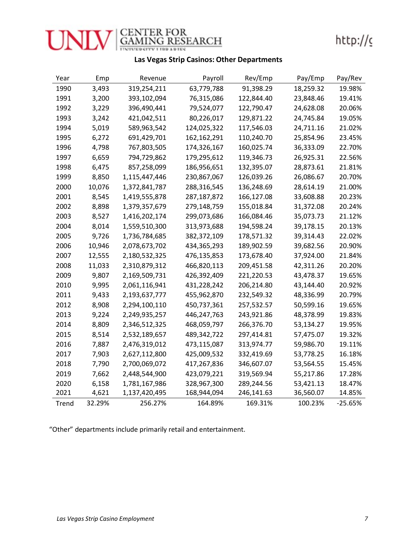

### Las Vegas Strip Casinos: Other Departments

| Year  | Emp    | Revenue       | Payroll     | Rev/Emp    | Pay/Emp   | Pay/Rev   |
|-------|--------|---------------|-------------|------------|-----------|-----------|
| 1990  | 3,493  | 319,254,211   | 63,779,788  | 91,398.29  | 18,259.32 | 19.98%    |
| 1991  | 3,200  | 393,102,094   | 76,315,086  | 122,844.40 | 23,848.46 | 19.41%    |
| 1992  | 3,229  | 396,490,441   | 79,524,077  | 122,790.47 | 24,628.08 | 20.06%    |
| 1993  | 3,242  | 421,042,511   | 80,226,017  | 129,871.22 | 24,745.84 | 19.05%    |
| 1994  | 5,019  | 589,963,542   | 124,025,322 | 117,546.03 | 24,711.16 | 21.02%    |
| 1995  | 6,272  | 691,429,701   | 162,162,291 | 110,240.70 | 25,854.96 | 23.45%    |
| 1996  | 4,798  | 767,803,505   | 174,326,167 | 160,025.74 | 36,333.09 | 22.70%    |
| 1997  | 6,659  | 794,729,862   | 179,295,612 | 119,346.73 | 26,925.31 | 22.56%    |
| 1998  | 6,475  | 857,258,099   | 186,956,651 | 132,395.07 | 28,873.61 | 21.81%    |
| 1999  | 8,850  | 1,115,447,446 | 230,867,067 | 126,039.26 | 26,086.67 | 20.70%    |
| 2000  | 10,076 | 1,372,841,787 | 288,316,545 | 136,248.69 | 28,614.19 | 21.00%    |
| 2001  | 8,545  | 1,419,555,878 | 287,187,872 | 166,127.08 | 33,608.88 | 20.23%    |
| 2002  | 8,898  | 1,379,357,679 | 279,148,759 | 155,018.84 | 31,372.08 | 20.24%    |
| 2003  | 8,527  | 1,416,202,174 | 299,073,686 | 166,084.46 | 35,073.73 | 21.12%    |
| 2004  | 8,014  | 1,559,510,300 | 313,973,688 | 194,598.24 | 39,178.15 | 20.13%    |
| 2005  | 9,726  | 1,736,784,685 | 382,372,109 | 178,571.32 | 39,314.43 | 22.02%    |
| 2006  | 10,946 | 2,078,673,702 | 434,365,293 | 189,902.59 | 39,682.56 | 20.90%    |
| 2007  | 12,555 | 2,180,532,325 | 476,135,853 | 173,678.40 | 37,924.00 | 21.84%    |
| 2008  | 11,033 | 2,310,879,312 | 466,820,113 | 209,451.58 | 42,311.26 | 20.20%    |
| 2009  | 9,807  | 2,169,509,731 | 426,392,409 | 221,220.53 | 43,478.37 | 19.65%    |
| 2010  | 9,995  | 2,061,116,941 | 431,228,242 | 206,214.80 | 43,144.40 | 20.92%    |
| 2011  | 9,433  | 2,193,637,777 | 455,962,870 | 232,549.32 | 48,336.99 | 20.79%    |
| 2012  | 8,908  | 2,294,100,110 | 450,737,361 | 257,532.57 | 50,599.16 | 19.65%    |
| 2013  | 9,224  | 2,249,935,257 | 446,247,763 | 243,921.86 | 48,378.99 | 19.83%    |
| 2014  | 8,809  | 2,346,512,325 | 468,059,797 | 266,376.70 | 53,134.27 | 19.95%    |
| 2015  | 8,514  | 2,532,189,657 | 489,342,722 | 297,414.81 | 57,475.07 | 19.32%    |
| 2016  | 7,887  | 2,476,319,012 | 473,115,087 | 313,974.77 | 59,986.70 | 19.11%    |
| 2017  | 7,903  | 2,627,112,800 | 425,009,532 | 332,419.69 | 53,778.25 | 16.18%    |
| 2018  | 7,790  | 2,700,069,072 | 417,267,836 | 346,607.07 | 53,564.55 | 15.45%    |
| 2019  | 7,662  | 2,448,544,900 | 423,079,221 | 319,569.94 | 55,217.86 | 17.28%    |
| 2020  | 6,158  | 1,781,167,986 | 328,967,300 | 289,244.56 | 53,421.13 | 18.47%    |
| 2021  | 4,621  | 1,137,420,495 | 168,944,094 | 246,141.63 | 36,560.07 | 14.85%    |
| Trend | 32.29% | 256.27%       | 164.89%     | 169.31%    | 100.23%   | $-25.65%$ |

"Other" departments include primarily retail and entertainment.